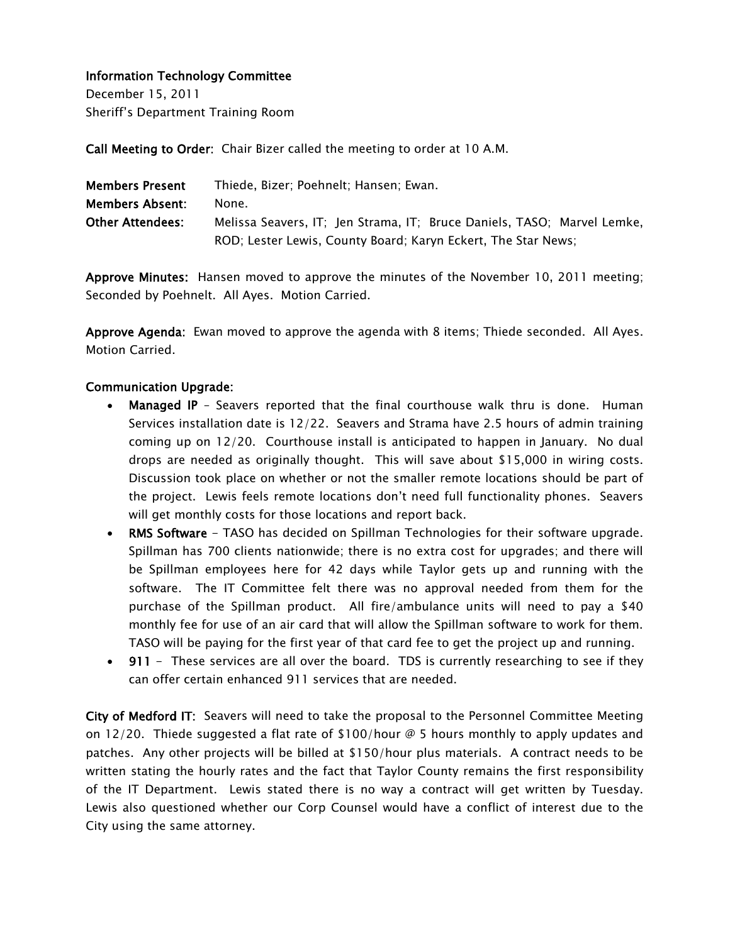December 15, 2011 Sheriff's Department Training Room

Call Meeting to Order: Chair Bizer called the meeting to order at 10 A.M.

| <b>Members Present</b>  | Thiede, Bizer; Poehnelt; Hansen; Ewan.                                  |
|-------------------------|-------------------------------------------------------------------------|
| <b>Members Absent:</b>  | None.                                                                   |
| <b>Other Attendees:</b> | Melissa Seavers, IT; Jen Strama, IT; Bruce Daniels, TASO; Marvel Lemke, |
|                         | ROD; Lester Lewis, County Board; Karyn Eckert, The Star News;           |

Approve Minutes: Hansen moved to approve the minutes of the November 10, 2011 meeting; Seconded by Poehnelt. All Ayes. Motion Carried.

Approve Agenda: Ewan moved to approve the agenda with 8 items; Thiede seconded. All Ayes. Motion Carried.

# Communication Upgrade:

- Managed IP Seavers reported that the final courthouse walk thru is done. Human Services installation date is 12/22. Seavers and Strama have 2.5 hours of admin training coming up on 12/20. Courthouse install is anticipated to happen in January. No dual drops are needed as originally thought. This will save about \$15,000 in wiring costs. Discussion took place on whether or not the smaller remote locations should be part of the project. Lewis feels remote locations don't need full functionality phones. Seavers will get monthly costs for those locations and report back.
- RMS Software TASO has decided on Spillman Technologies for their software upgrade. Spillman has 700 clients nationwide; there is no extra cost for upgrades; and there will be Spillman employees here for 42 days while Taylor gets up and running with the software. The IT Committee felt there was no approval needed from them for the purchase of the Spillman product. All fire/ambulance units will need to pay a \$40 monthly fee for use of an air card that will allow the Spillman software to work for them. TASO will be paying for the first year of that card fee to get the project up and running.
- 911 These services are all over the board. TDS is currently researching to see if they can offer certain enhanced 911 services that are needed.

City of Medford IT: Seavers will need to take the proposal to the Personnel Committee Meeting on 12/20. Thiede suggested a flat rate of \$100/hour  $\emptyset$  5 hours monthly to apply updates and patches. Any other projects will be billed at \$150/hour plus materials. A contract needs to be written stating the hourly rates and the fact that Taylor County remains the first responsibility of the IT Department. Lewis stated there is no way a contract will get written by Tuesday. Lewis also questioned whether our Corp Counsel would have a conflict of interest due to the City using the same attorney.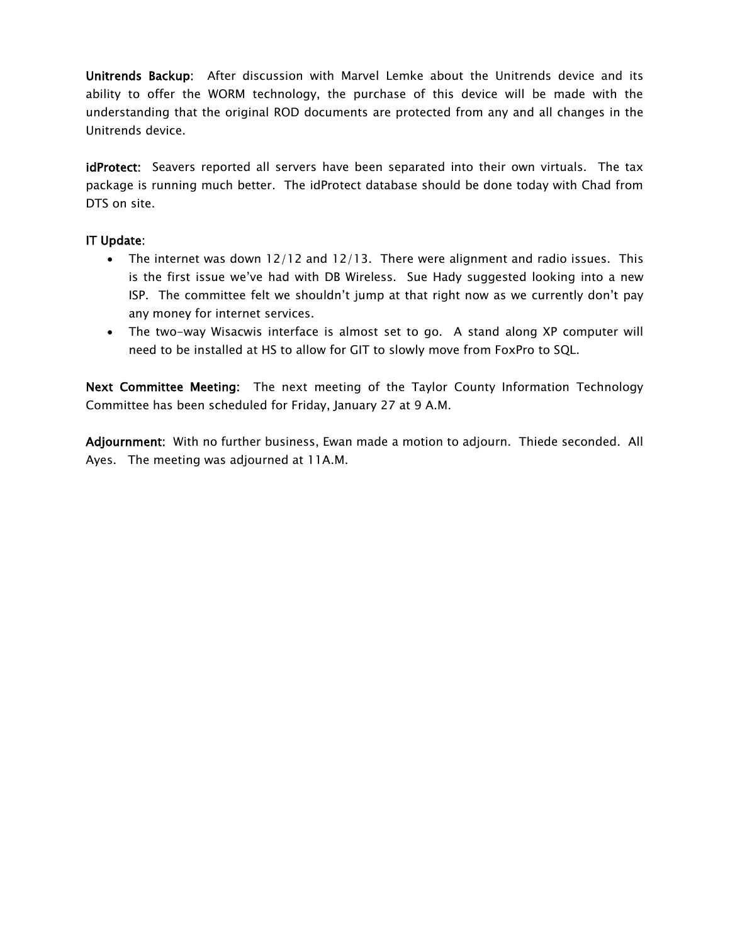Unitrends Backup: After discussion with Marvel Lemke about the Unitrends device and its ability to offer the WORM technology, the purchase of this device will be made with the understanding that the original ROD documents are protected from any and all changes in the Unitrends device.

idProtect: Seavers reported all servers have been separated into their own virtuals. The tax package is running much better. The idProtect database should be done today with Chad from DTS on site.

# IT Update:

- The internet was down 12/12 and 12/13. There were alignment and radio issues. This is the first issue we've had with DB Wireless. Sue Hady suggested looking into a new ISP. The committee felt we shouldn't jump at that right now as we currently don't pay any money for internet services.
- The two-way Wisacwis interface is almost set to go. A stand along XP computer will need to be installed at HS to allow for GIT to slowly move from FoxPro to SQL.

Next Committee Meeting: The next meeting of the Taylor County Information Technology Committee has been scheduled for Friday, January 27 at 9 A.M.

Adjournment: With no further business, Ewan made a motion to adjourn. Thiede seconded. All Ayes. The meeting was adjourned at 11A.M.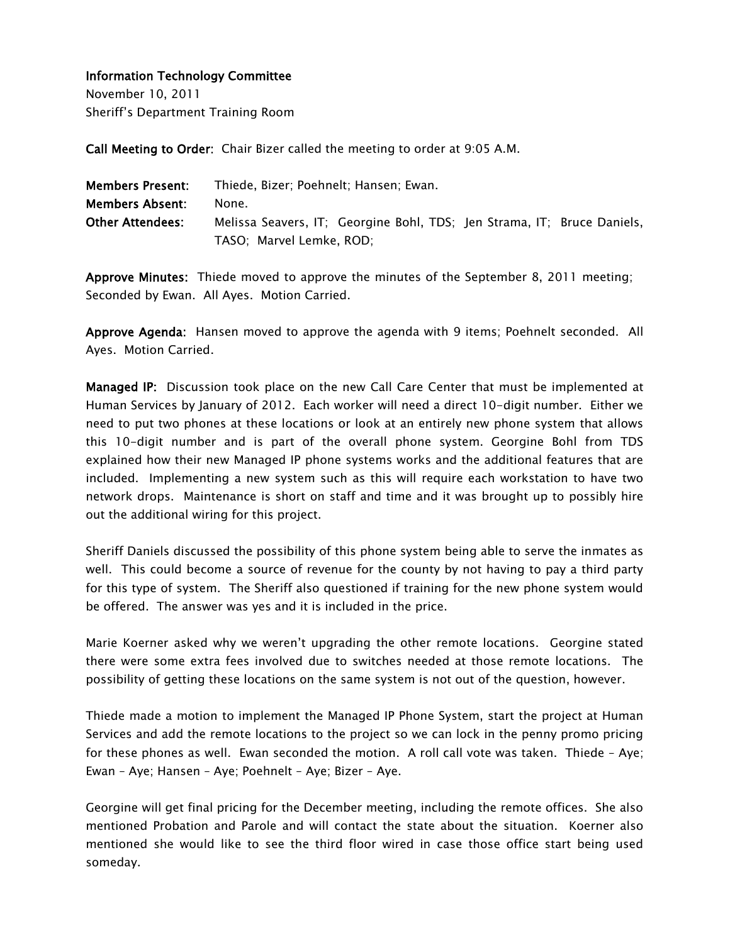November 10, 2011 Sheriff's Department Training Room

Call Meeting to Order: Chair Bizer called the meeting to order at 9:05 A.M.

| <b>Members Present:</b> | Thiede, Bizer; Poehnelt; Hansen; Ewan.                                  |
|-------------------------|-------------------------------------------------------------------------|
| Members Absent:         | None.                                                                   |
| <b>Other Attendees:</b> | Melissa Seavers, IT; Georgine Bohl, TDS; Jen Strama, IT; Bruce Daniels, |
|                         | TASO; Marvel Lemke, ROD;                                                |

Approve Minutes: Thiede moved to approve the minutes of the September 8, 2011 meeting; Seconded by Ewan. All Ayes. Motion Carried.

Approve Agenda: Hansen moved to approve the agenda with 9 items; Poehnelt seconded. All Ayes. Motion Carried.

Managed IP: Discussion took place on the new Call Care Center that must be implemented at Human Services by January of 2012. Each worker will need a direct 10-digit number. Either we need to put two phones at these locations or look at an entirely new phone system that allows this 10-digit number and is part of the overall phone system. Georgine Bohl from TDS explained how their new Managed IP phone systems works and the additional features that are included. Implementing a new system such as this will require each workstation to have two network drops. Maintenance is short on staff and time and it was brought up to possibly hire out the additional wiring for this project.

Sheriff Daniels discussed the possibility of this phone system being able to serve the inmates as well. This could become a source of revenue for the county by not having to pay a third party for this type of system. The Sheriff also questioned if training for the new phone system would be offered. The answer was yes and it is included in the price.

Marie Koerner asked why we weren't upgrading the other remote locations. Georgine stated there were some extra fees involved due to switches needed at those remote locations. The possibility of getting these locations on the same system is not out of the question, however.

Thiede made a motion to implement the Managed IP Phone System, start the project at Human Services and add the remote locations to the project so we can lock in the penny promo pricing for these phones as well. Ewan seconded the motion. A roll call vote was taken. Thiede – Aye; Ewan – Aye; Hansen – Aye; Poehnelt – Aye; Bizer – Aye.

Georgine will get final pricing for the December meeting, including the remote offices. She also mentioned Probation and Parole and will contact the state about the situation. Koerner also mentioned she would like to see the third floor wired in case those office start being used someday.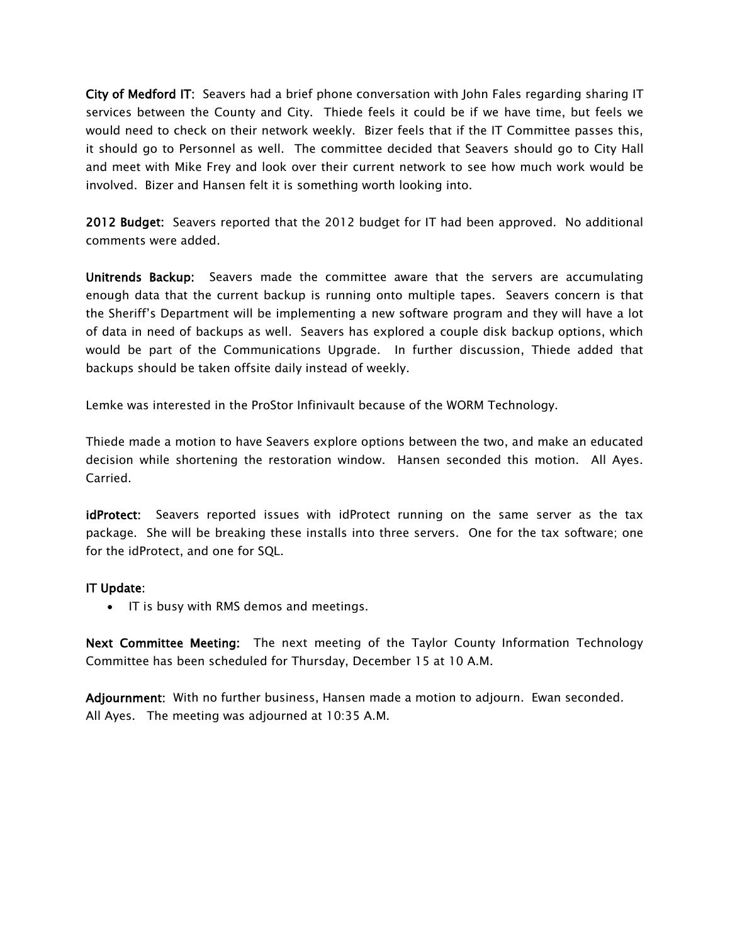City of Medford IT: Seavers had a brief phone conversation with John Fales regarding sharing IT services between the County and City. Thiede feels it could be if we have time, but feels we would need to check on their network weekly. Bizer feels that if the IT Committee passes this, it should go to Personnel as well. The committee decided that Seavers should go to City Hall and meet with Mike Frey and look over their current network to see how much work would be involved. Bizer and Hansen felt it is something worth looking into.

2012 Budget: Seavers reported that the 2012 budget for IT had been approved. No additional comments were added.

Unitrends Backup: Seavers made the committee aware that the servers are accumulating enough data that the current backup is running onto multiple tapes. Seavers concern is that the Sheriff's Department will be implementing a new software program and they will have a lot of data in need of backups as well. Seavers has explored a couple disk backup options, which would be part of the Communications Upgrade. In further discussion, Thiede added that backups should be taken offsite daily instead of weekly.

Lemke was interested in the ProStor Infinivault because of the WORM Technology.

Thiede made a motion to have Seavers explore options between the two, and make an educated decision while shortening the restoration window. Hansen seconded this motion. All Ayes. Carried.

idProtect: Seavers reported issues with idProtect running on the same server as the tax package. She will be breaking these installs into three servers. One for the tax software; one for the idProtect, and one for SQL.

#### IT Update:

• IT is busy with RMS demos and meetings.

Next Committee Meeting: The next meeting of the Taylor County Information Technology Committee has been scheduled for Thursday, December 15 at 10 A.M.

Adjournment: With no further business, Hansen made a motion to adjourn. Ewan seconded. All Ayes. The meeting was adjourned at 10:35 A.M.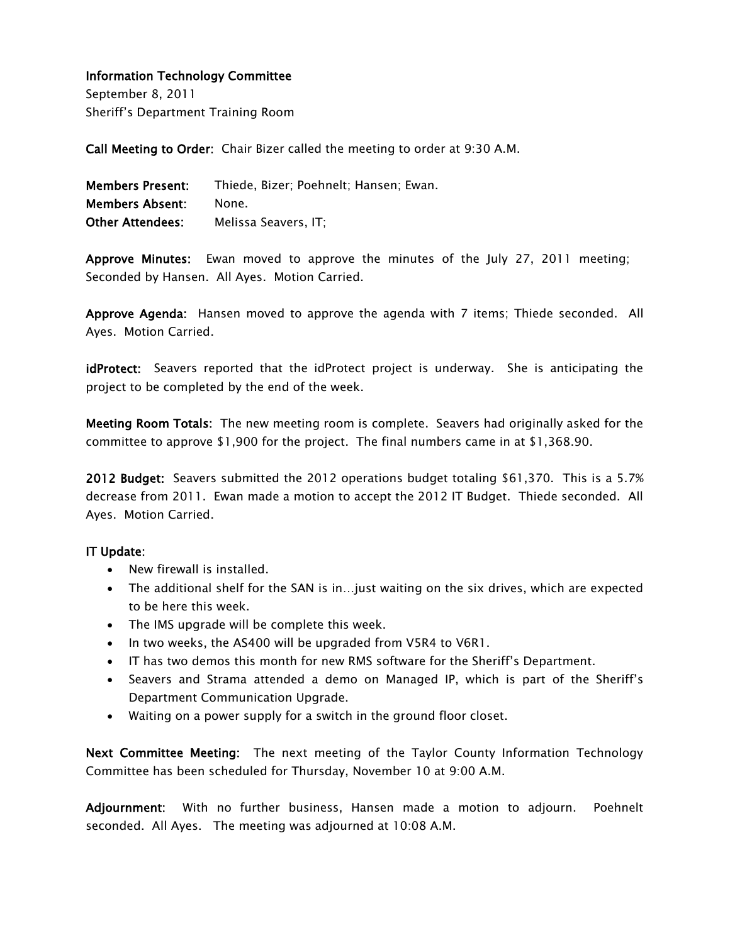September 8, 2011 Sheriff's Department Training Room

Call Meeting to Order: Chair Bizer called the meeting to order at 9:30 A.M.

| <b>Members Present:</b> | Thiede, Bizer; Poehnelt; Hansen; Ewan. |
|-------------------------|----------------------------------------|
| <b>Members Absent:</b>  | None.                                  |
| <b>Other Attendees:</b> | Melissa Seavers. IT:                   |

Approve Minutes: Ewan moved to approve the minutes of the July 27, 2011 meeting; Seconded by Hansen. All Ayes. Motion Carried.

Approve Agenda: Hansen moved to approve the agenda with 7 items; Thiede seconded. All Ayes. Motion Carried.

idProtect: Seavers reported that the idProtect project is underway. She is anticipating the project to be completed by the end of the week.

Meeting Room Totals: The new meeting room is complete. Seavers had originally asked for the committee to approve \$1,900 for the project. The final numbers came in at \$1,368.90.

2012 Budget: Seavers submitted the 2012 operations budget totaling \$61,370. This is a 5.7% decrease from 2011. Ewan made a motion to accept the 2012 IT Budget. Thiede seconded. All Ayes. Motion Carried.

#### IT Update:

- New firewall is installed.
- The additional shelf for the SAN is in…just waiting on the six drives, which are expected to be here this week.
- The IMS upgrade will be complete this week.
- In two weeks, the AS400 will be upgraded from V5R4 to V6R1.
- IT has two demos this month for new RMS software for the Sheriff's Department.
- Seavers and Strama attended a demo on Managed IP, which is part of the Sheriff's Department Communication Upgrade.
- Waiting on a power supply for a switch in the ground floor closet.

Next Committee Meeting: The next meeting of the Taylor County Information Technology Committee has been scheduled for Thursday, November 10 at 9:00 A.M.

Adjournment: With no further business, Hansen made a motion to adjourn. Poehnelt seconded. All Ayes. The meeting was adjourned at 10:08 A.M.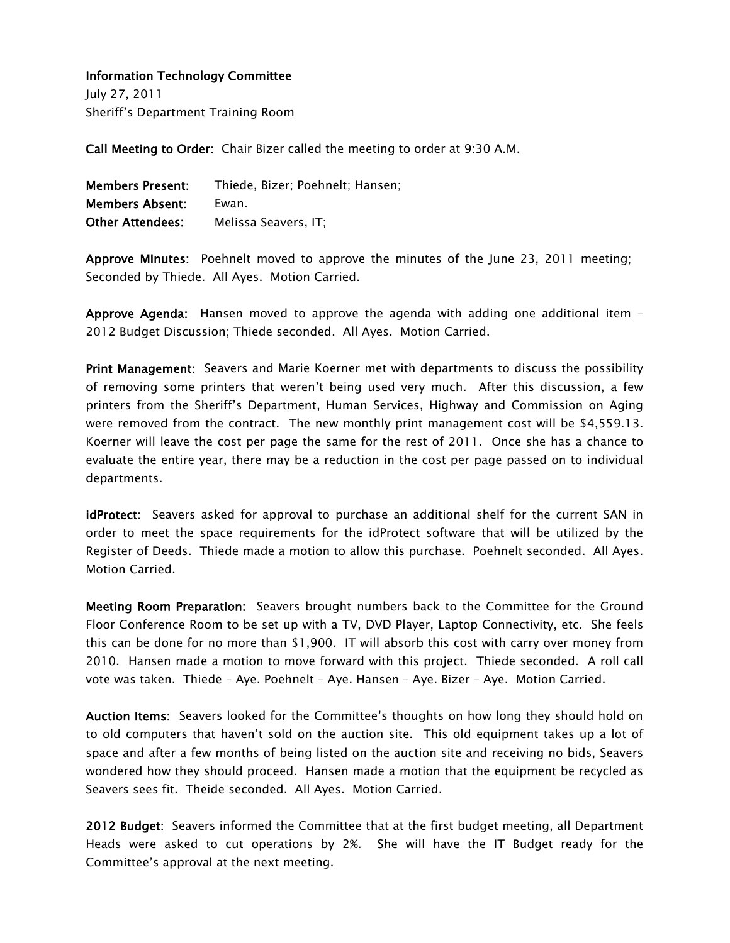July 27, 2011 Sheriff's Department Training Room

Call Meeting to Order: Chair Bizer called the meeting to order at 9:30 A.M.

| <b>Members Present:</b> | Thiede, Bizer; Poehnelt; Hansen; |
|-------------------------|----------------------------------|
| <b>Members Absent:</b>  | Ewan.                            |
| <b>Other Attendees:</b> | Melissa Seavers. IT:             |

Approve Minutes: Poehnelt moved to approve the minutes of the June 23, 2011 meeting; Seconded by Thiede. All Ayes. Motion Carried.

Approve Agenda: Hansen moved to approve the agenda with adding one additional item – 2012 Budget Discussion; Thiede seconded. All Ayes. Motion Carried.

Print Management: Seavers and Marie Koerner met with departments to discuss the possibility of removing some printers that weren't being used very much. After this discussion, a few printers from the Sheriff's Department, Human Services, Highway and Commission on Aging were removed from the contract. The new monthly print management cost will be \$4,559.13. Koerner will leave the cost per page the same for the rest of 2011. Once she has a chance to evaluate the entire year, there may be a reduction in the cost per page passed on to individual departments.

idProtect: Seavers asked for approval to purchase an additional shelf for the current SAN in order to meet the space requirements for the idProtect software that will be utilized by the Register of Deeds. Thiede made a motion to allow this purchase. Poehnelt seconded. All Ayes. Motion Carried.

Meeting Room Preparation: Seavers brought numbers back to the Committee for the Ground Floor Conference Room to be set up with a TV, DVD Player, Laptop Connectivity, etc. She feels this can be done for no more than \$1,900. IT will absorb this cost with carry over money from 2010. Hansen made a motion to move forward with this project. Thiede seconded. A roll call vote was taken. Thiede – Aye. Poehnelt – Aye. Hansen – Aye. Bizer – Aye. Motion Carried.

Auction Items: Seavers looked for the Committee's thoughts on how long they should hold on to old computers that haven't sold on the auction site. This old equipment takes up a lot of space and after a few months of being listed on the auction site and receiving no bids, Seavers wondered how they should proceed. Hansen made a motion that the equipment be recycled as Seavers sees fit. Theide seconded. All Ayes. Motion Carried.

2012 Budget: Seavers informed the Committee that at the first budget meeting, all Department Heads were asked to cut operations by 2%. She will have the IT Budget ready for the Committee's approval at the next meeting.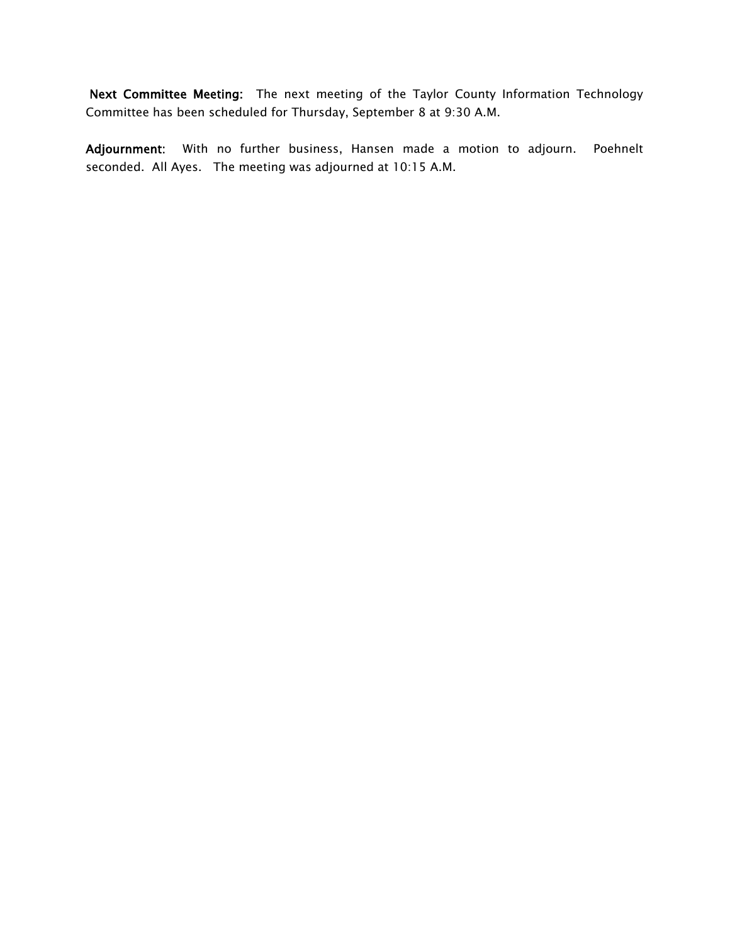Next Committee Meeting: The next meeting of the Taylor County Information Technology Committee has been scheduled for Thursday, September 8 at 9:30 A.M.

Adjournment: With no further business, Hansen made a motion to adjourn. Poehnelt seconded. All Ayes. The meeting was adjourned at 10:15 A.M.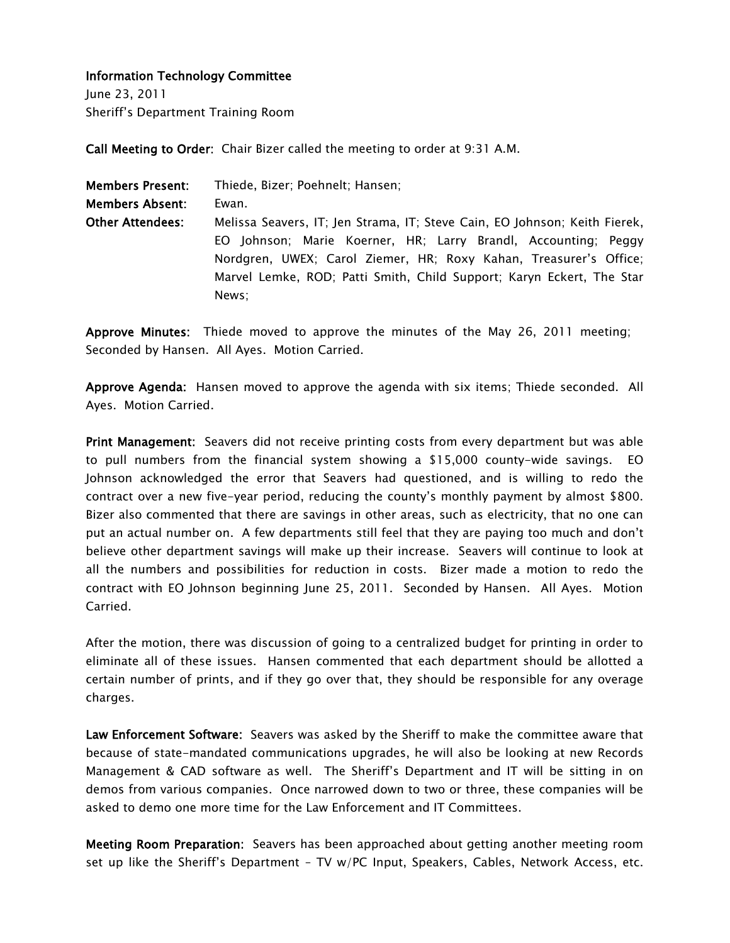June 23, 2011 Sheriff's Department Training Room

Call Meeting to Order: Chair Bizer called the meeting to order at 9:31 A.M.

| <b>Members Present:</b> | Thiede, Bizer; Poehnelt; Hansen;                                           |
|-------------------------|----------------------------------------------------------------------------|
| <b>Members Absent:</b>  | Ewan.                                                                      |
| <b>Other Attendees:</b> | Melissa Seavers, IT; Jen Strama, IT; Steve Cain, EO Johnson; Keith Fierek, |
|                         | EO Johnson; Marie Koerner, HR; Larry Brandl, Accounting; Peggy             |
|                         | Nordgren, UWEX; Carol Ziemer, HR; Roxy Kahan, Treasurer's Office;          |
|                         | Marvel Lemke, ROD; Patti Smith, Child Support; Karyn Eckert, The Star      |
|                         | News:                                                                      |

Approve Minutes: Thiede moved to approve the minutes of the May 26, 2011 meeting; Seconded by Hansen. All Ayes. Motion Carried.

Approve Agenda: Hansen moved to approve the agenda with six items; Thiede seconded. All Ayes. Motion Carried.

Print Management: Seavers did not receive printing costs from every department but was able to pull numbers from the financial system showing a \$15,000 county-wide savings. EO Johnson acknowledged the error that Seavers had questioned, and is willing to redo the contract over a new five-year period, reducing the county's monthly payment by almost \$800. Bizer also commented that there are savings in other areas, such as electricity, that no one can put an actual number on. A few departments still feel that they are paying too much and don't believe other department savings will make up their increase. Seavers will continue to look at all the numbers and possibilities for reduction in costs. Bizer made a motion to redo the contract with EO Johnson beginning June 25, 2011. Seconded by Hansen. All Ayes. Motion Carried.

After the motion, there was discussion of going to a centralized budget for printing in order to eliminate all of these issues. Hansen commented that each department should be allotted a certain number of prints, and if they go over that, they should be responsible for any overage charges.

Law Enforcement Software: Seavers was asked by the Sheriff to make the committee aware that because of state-mandated communications upgrades, he will also be looking at new Records Management & CAD software as well. The Sheriff's Department and IT will be sitting in on demos from various companies. Once narrowed down to two or three, these companies will be asked to demo one more time for the Law Enforcement and IT Committees.

Meeting Room Preparation: Seavers has been approached about getting another meeting room set up like the Sheriff's Department – TV w/PC Input, Speakers, Cables, Network Access, etc.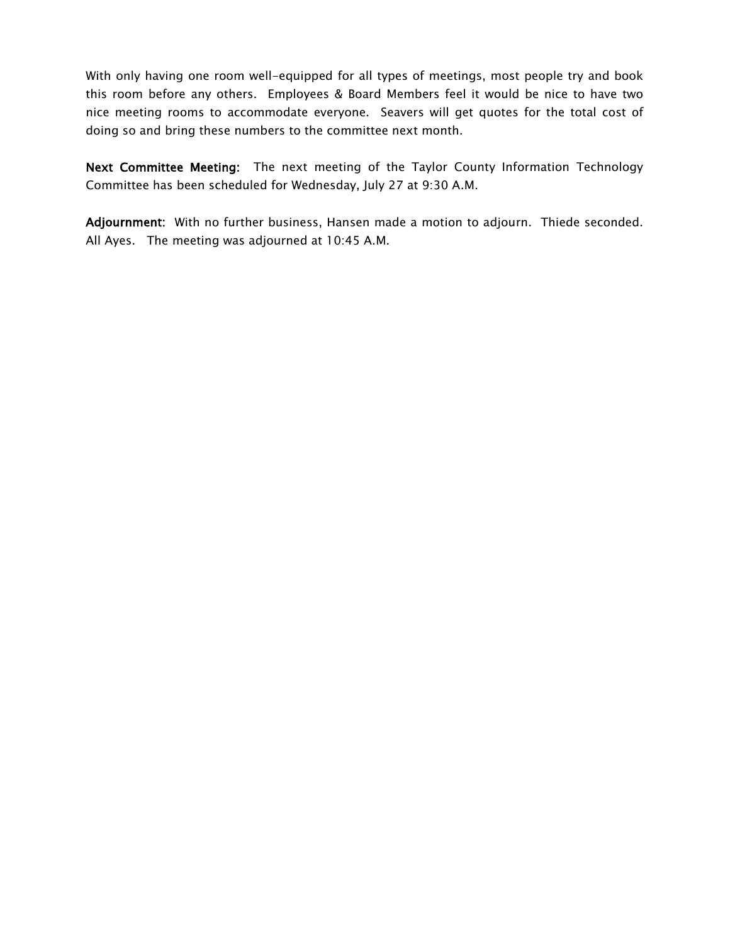With only having one room well-equipped for all types of meetings, most people try and book this room before any others. Employees & Board Members feel it would be nice to have two nice meeting rooms to accommodate everyone. Seavers will get quotes for the total cost of doing so and bring these numbers to the committee next month.

Next Committee Meeting: The next meeting of the Taylor County Information Technology Committee has been scheduled for Wednesday, July 27 at 9:30 A.M.

Adjournment: With no further business, Hansen made a motion to adjourn. Thiede seconded. All Ayes. The meeting was adjourned at 10:45 A.M.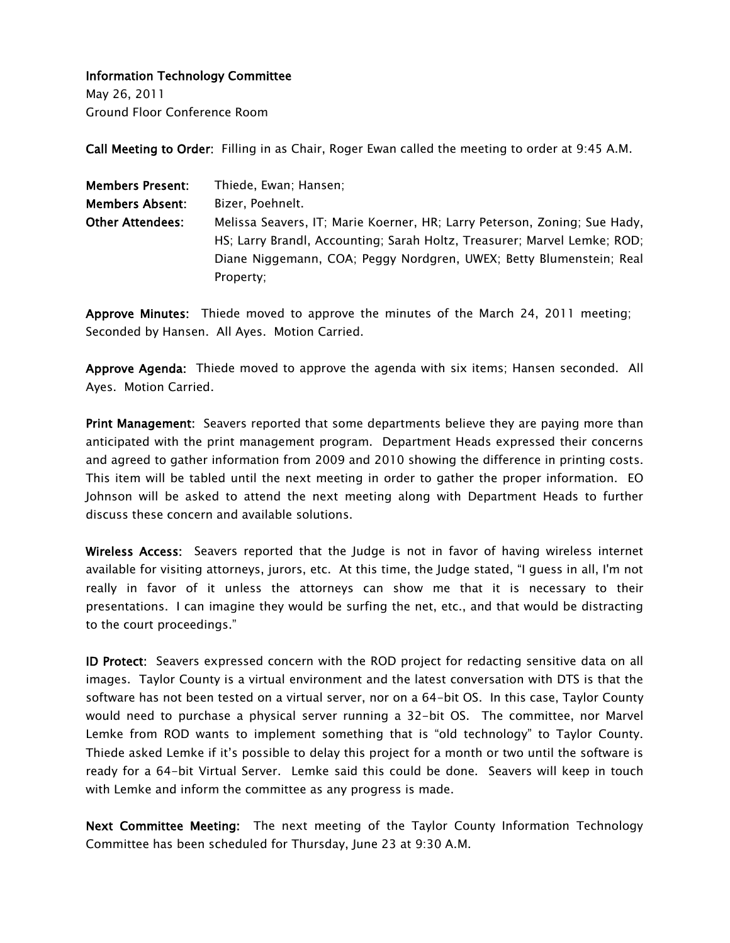May 26, 2011 Ground Floor Conference Room

Call Meeting to Order: Filling in as Chair, Roger Ewan called the meeting to order at 9:45 A.M.

| <b>Members Present:</b> | Thiede, Ewan; Hansen;                                                     |  |
|-------------------------|---------------------------------------------------------------------------|--|
| <b>Members Absent:</b>  | Bizer. Poehnelt.                                                          |  |
| <b>Other Attendees:</b> | Melissa Seavers, IT; Marie Koerner, HR; Larry Peterson, Zoning; Sue Hady, |  |
|                         | HS; Larry Brandl, Accounting; Sarah Holtz, Treasurer; Marvel Lemke; ROD;  |  |
|                         | Diane Niggemann, COA; Peggy Nordgren, UWEX; Betty Blumenstein; Real       |  |
|                         | Property:                                                                 |  |

Approve Minutes: Thiede moved to approve the minutes of the March 24, 2011 meeting; Seconded by Hansen. All Ayes. Motion Carried.

Approve Agenda: Thiede moved to approve the agenda with six items; Hansen seconded. All Ayes. Motion Carried.

Print Management: Seavers reported that some departments believe they are paying more than anticipated with the print management program. Department Heads expressed their concerns and agreed to gather information from 2009 and 2010 showing the difference in printing costs. This item will be tabled until the next meeting in order to gather the proper information. EO Johnson will be asked to attend the next meeting along with Department Heads to further discuss these concern and available solutions.

Wireless Access: Seavers reported that the Judge is not in favor of having wireless internet available for visiting attorneys, jurors, etc. At this time, the Judge stated, "I guess in all, I'm not really in favor of it unless the attorneys can show me that it is necessary to their presentations. I can imagine they would be surfing the net, etc., and that would be distracting to the court proceedings."

ID Protect: Seavers expressed concern with the ROD project for redacting sensitive data on all images. Taylor County is a virtual environment and the latest conversation with DTS is that the software has not been tested on a virtual server, nor on a 64-bit OS. In this case, Taylor County would need to purchase a physical server running a 32-bit OS. The committee, nor Marvel Lemke from ROD wants to implement something that is "old technology" to Taylor County. Thiede asked Lemke if it's possible to delay this project for a month or two until the software is ready for a 64-bit Virtual Server. Lemke said this could be done. Seavers will keep in touch with Lemke and inform the committee as any progress is made.

Next Committee Meeting: The next meeting of the Taylor County Information Technology Committee has been scheduled for Thursday, June 23 at 9:30 A.M.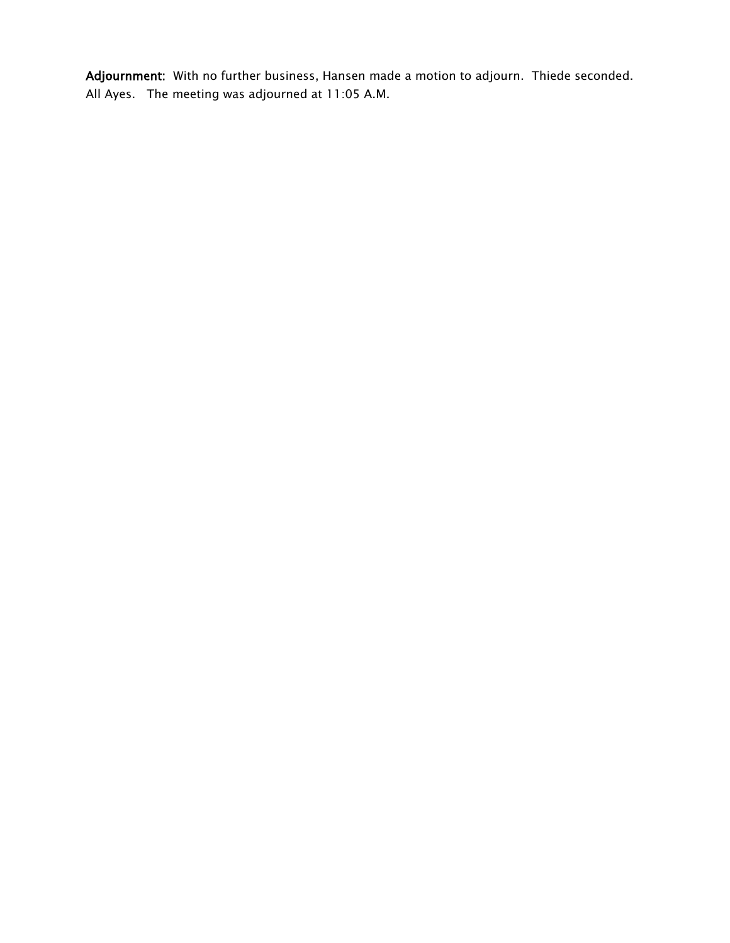Adjournment: With no further business, Hansen made a motion to adjourn. Thiede seconded. All Ayes. The meeting was adjourned at 11:05 A.M.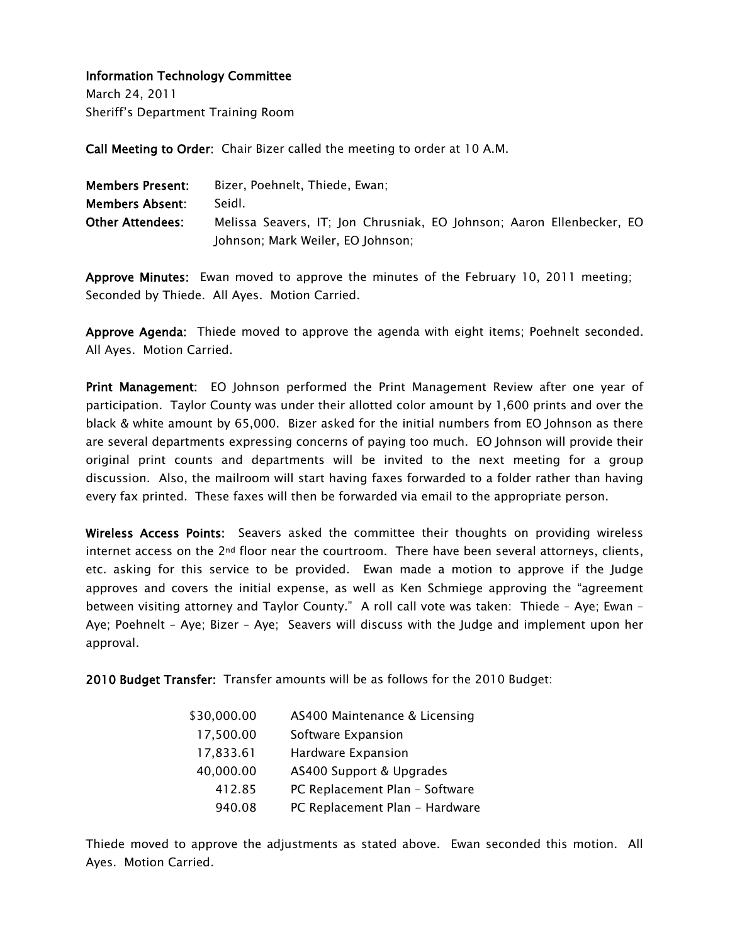March 24, 2011 Sheriff's Department Training Room

Call Meeting to Order: Chair Bizer called the meeting to order at 10 A.M.

| <b>Members Present:</b> | Bizer, Poehnelt, Thiede, Ewan;                                        |
|-------------------------|-----------------------------------------------------------------------|
| <b>Members Absent:</b>  | Seidl.                                                                |
| <b>Other Attendees:</b> | Melissa Seavers, IT; Jon Chrusniak, EO Johnson; Aaron Ellenbecker, EO |
|                         | Johnson; Mark Weiler, EO Johnson;                                     |

Approve Minutes: Ewan moved to approve the minutes of the February 10, 2011 meeting; Seconded by Thiede. All Ayes. Motion Carried.

Approve Agenda: Thiede moved to approve the agenda with eight items; Poehnelt seconded. All Ayes. Motion Carried.

Print Management: EO Johnson performed the Print Management Review after one year of participation. Taylor County was under their allotted color amount by 1,600 prints and over the black & white amount by 65,000. Bizer asked for the initial numbers from EO Johnson as there are several departments expressing concerns of paying too much. EO Johnson will provide their original print counts and departments will be invited to the next meeting for a group discussion. Also, the mailroom will start having faxes forwarded to a folder rather than having every fax printed. These faxes will then be forwarded via email to the appropriate person.

Wireless Access Points: Seavers asked the committee their thoughts on providing wireless internet access on the  $2^{nd}$  floor near the courtroom. There have been several attorneys, clients, etc. asking for this service to be provided. Ewan made a motion to approve if the Judge approves and covers the initial expense, as well as Ken Schmiege approving the "agreement between visiting attorney and Taylor County." A roll call vote was taken: Thiede – Aye; Ewan – Aye; Poehnelt – Aye; Bizer – Aye; Seavers will discuss with the Judge and implement upon her approval.

2010 Budget Transfer: Transfer amounts will be as follows for the 2010 Budget:

| \$30,000.00 | AS400 Maintenance & Licensing  |
|-------------|--------------------------------|
| 17,500.00   | Software Expansion             |
| 17,833.61   | Hardware Expansion             |
| 40,000.00   | AS400 Support & Upgrades       |
| 412.85      | PC Replacement Plan - Software |
| 940.08      | PC Replacement Plan - Hardware |

Thiede moved to approve the adjustments as stated above. Ewan seconded this motion. All Ayes. Motion Carried.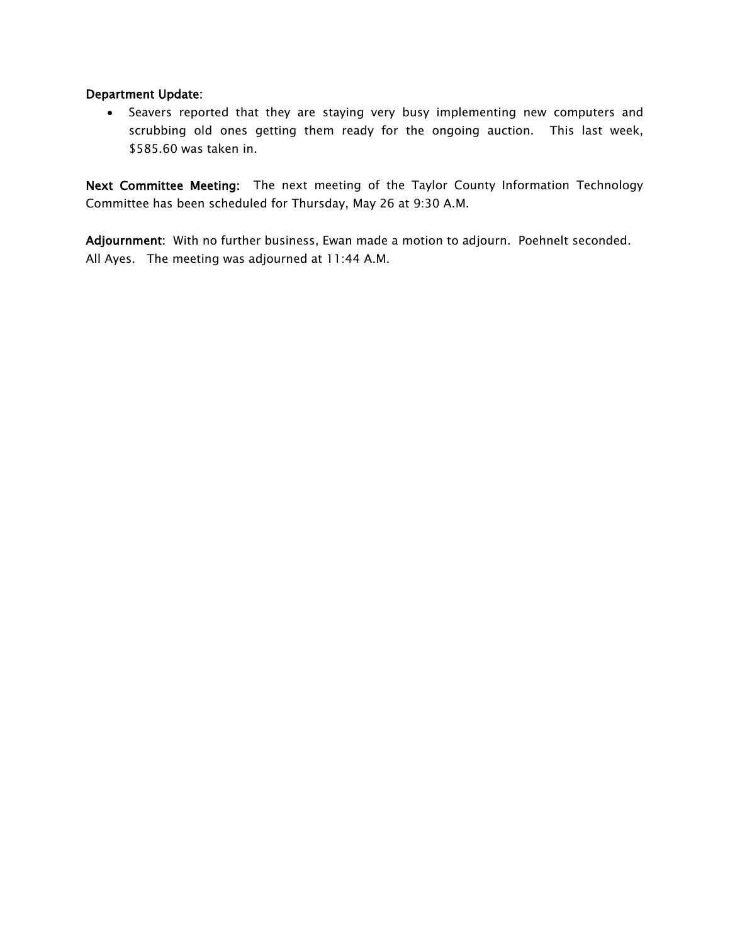#### Department Update:

• Seavers reported that they are staying very busy implementing new computers and scrubbing old ones getting them ready for the ongoing auction. This last week, \$585.60 was taken in.

Next Committee Meeting: The next meeting of the Taylor County Information Technology Committee has been scheduled for Thursday, May 26 at 9:30 A.M.

Adjournment: With no further business, Ewan made a motion to adjourn. Poehnelt seconded. All Ayes. The meeting was adjourned at 11:44 A.M.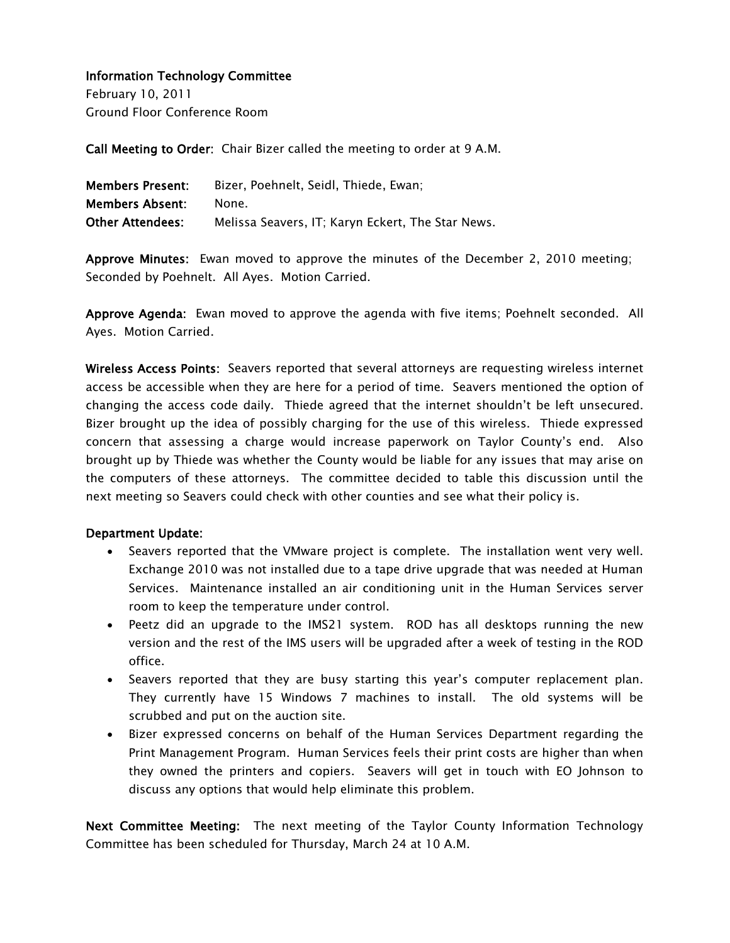February 10, 2011 Ground Floor Conference Room

Call Meeting to Order: Chair Bizer called the meeting to order at 9 A.M.

| <b>Members Present:</b> | Bizer, Poehnelt, Seidl, Thiede, Ewan;             |
|-------------------------|---------------------------------------------------|
| <b>Members Absent:</b>  | None.                                             |
| <b>Other Attendees:</b> | Melissa Seavers, IT; Karyn Eckert, The Star News. |

Approve Minutes: Ewan moved to approve the minutes of the December 2, 2010 meeting; Seconded by Poehnelt. All Ayes. Motion Carried.

Approve Agenda: Ewan moved to approve the agenda with five items; Poehnelt seconded. All Ayes. Motion Carried.

Wireless Access Points: Seavers reported that several attorneys are requesting wireless internet access be accessible when they are here for a period of time. Seavers mentioned the option of changing the access code daily. Thiede agreed that the internet shouldn't be left unsecured. Bizer brought up the idea of possibly charging for the use of this wireless. Thiede expressed concern that assessing a charge would increase paperwork on Taylor County's end. Also brought up by Thiede was whether the County would be liable for any issues that may arise on the computers of these attorneys. The committee decided to table this discussion until the next meeting so Seavers could check with other counties and see what their policy is.

#### Department Update:

- Seavers reported that the VMware project is complete. The installation went very well. Exchange 2010 was not installed due to a tape drive upgrade that was needed at Human Services. Maintenance installed an air conditioning unit in the Human Services server room to keep the temperature under control.
- Peetz did an upgrade to the IMS21 system. ROD has all desktops running the new version and the rest of the IMS users will be upgraded after a week of testing in the ROD office.
- Seavers reported that they are busy starting this year's computer replacement plan. They currently have 15 Windows 7 machines to install. The old systems will be scrubbed and put on the auction site.
- Bizer expressed concerns on behalf of the Human Services Department regarding the Print Management Program. Human Services feels their print costs are higher than when they owned the printers and copiers. Seavers will get in touch with EO Johnson to discuss any options that would help eliminate this problem.

Next Committee Meeting: The next meeting of the Taylor County Information Technology Committee has been scheduled for Thursday, March 24 at 10 A.M.